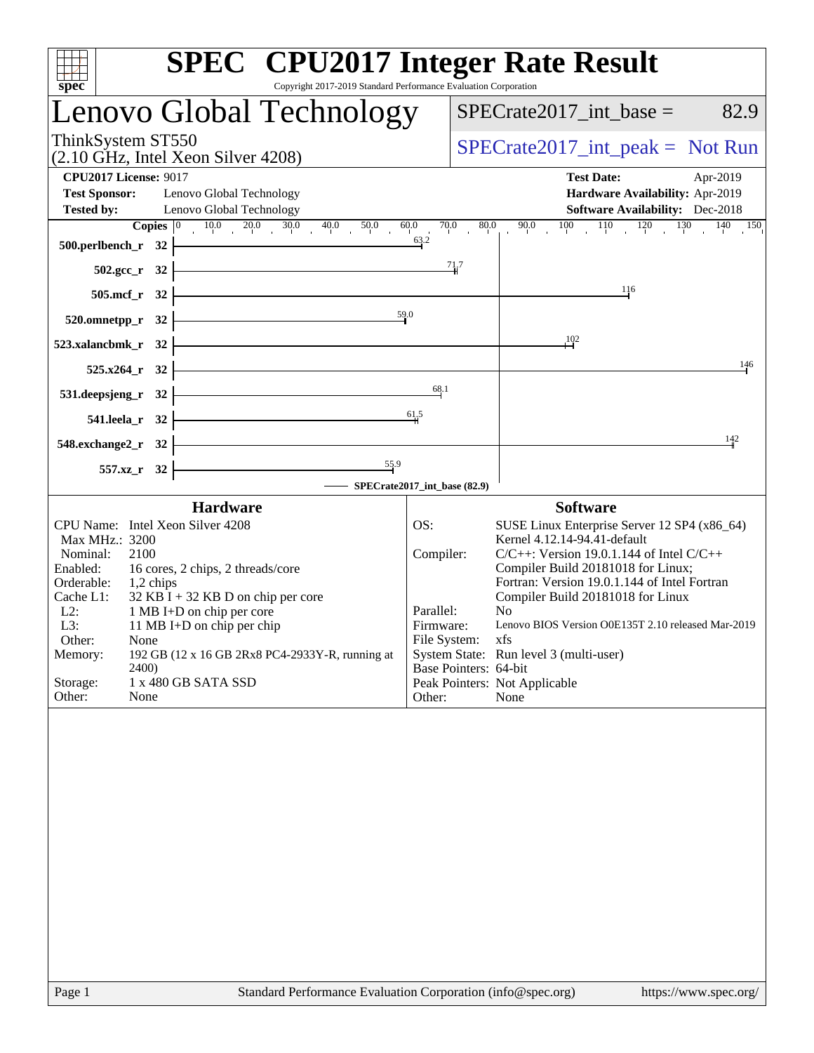| spec<br>Copyright 2017-2019 Standard Performance Evaluation Corporation                                                                                                                                                                                                                                                                                                                                                             | <b>SPEC<sup>®</sup></b> CPU2017 Integer Rate Result                                                                                                                                                                                                                                                                                                                                                                                                                                                                         |
|-------------------------------------------------------------------------------------------------------------------------------------------------------------------------------------------------------------------------------------------------------------------------------------------------------------------------------------------------------------------------------------------------------------------------------------|-----------------------------------------------------------------------------------------------------------------------------------------------------------------------------------------------------------------------------------------------------------------------------------------------------------------------------------------------------------------------------------------------------------------------------------------------------------------------------------------------------------------------------|
| Lenovo Global Technology                                                                                                                                                                                                                                                                                                                                                                                                            | $SPECrate2017\_int\_base =$<br>82.9                                                                                                                                                                                                                                                                                                                                                                                                                                                                                         |
| ThinkSystem ST550<br>$(2.10 \text{ GHz}, \text{Intel Xeon Silver } 4208)$                                                                                                                                                                                                                                                                                                                                                           | $SPECTate2017\_int\_peak = Not Run$                                                                                                                                                                                                                                                                                                                                                                                                                                                                                         |
| <b>CPU2017 License: 9017</b><br><b>Test Sponsor:</b><br>Lenovo Global Technology                                                                                                                                                                                                                                                                                                                                                    | <b>Test Date:</b><br>Apr-2019<br>Hardware Availability: Apr-2019                                                                                                                                                                                                                                                                                                                                                                                                                                                            |
| <b>Tested by:</b><br>Lenovo Global Technology<br><b>Copies</b> $\begin{bmatrix} 0 & 10.0 & 20.0 & 30.0 & 40.0 & 50.0 & 60.0 \end{bmatrix}$                                                                                                                                                                                                                                                                                          | <b>Software Availability:</b> Dec-2018<br>70.0<br>$80.0 \t90.0 \t100 \t110 \t120 \t130 \t140 \t150$                                                                                                                                                                                                                                                                                                                                                                                                                         |
| 500.perlbench_r $32$ $\vdash$                                                                                                                                                                                                                                                                                                                                                                                                       | 63.2                                                                                                                                                                                                                                                                                                                                                                                                                                                                                                                        |
| $502.\text{sec}_r$ 32 $\vdash$                                                                                                                                                                                                                                                                                                                                                                                                      | $\frac{71.7}{4}$                                                                                                                                                                                                                                                                                                                                                                                                                                                                                                            |
| $505.\text{mcf}_r$ 32                                                                                                                                                                                                                                                                                                                                                                                                               | 116                                                                                                                                                                                                                                                                                                                                                                                                                                                                                                                         |
| 59.0<br>$520.0$ mnetpp_r $32$                                                                                                                                                                                                                                                                                                                                                                                                       |                                                                                                                                                                                                                                                                                                                                                                                                                                                                                                                             |
| $523$ .xalancbmk_r 32                                                                                                                                                                                                                                                                                                                                                                                                               | 102                                                                                                                                                                                                                                                                                                                                                                                                                                                                                                                         |
| $525.x264$ <sub>r</sub> 32                                                                                                                                                                                                                                                                                                                                                                                                          | 146                                                                                                                                                                                                                                                                                                                                                                                                                                                                                                                         |
| <u> 1989 - Johann Stoff, fransk politik (d. 1989)</u><br>$531.$ deepsjeng_r 32                                                                                                                                                                                                                                                                                                                                                      | 68.1                                                                                                                                                                                                                                                                                                                                                                                                                                                                                                                        |
| 541.leela_r 32 $-$                                                                                                                                                                                                                                                                                                                                                                                                                  | 61,5                                                                                                                                                                                                                                                                                                                                                                                                                                                                                                                        |
| 548.exchange2_r $32$ $\vdash$                                                                                                                                                                                                                                                                                                                                                                                                       | 142                                                                                                                                                                                                                                                                                                                                                                                                                                                                                                                         |
| $\frac{55.9}{2}$<br>557.xz_r 32<br>SPECrate2017_int_base (82.9)                                                                                                                                                                                                                                                                                                                                                                     |                                                                                                                                                                                                                                                                                                                                                                                                                                                                                                                             |
| <b>Hardware</b>                                                                                                                                                                                                                                                                                                                                                                                                                     | <b>Software</b>                                                                                                                                                                                                                                                                                                                                                                                                                                                                                                             |
| CPU Name: Intel Xeon Silver 4208<br>Max MHz.: 3200<br>2100<br>Nominal:<br>Enabled:<br>16 cores, 2 chips, 2 threads/core<br>Orderable:<br>$1,2$ chips<br>Cache L1:<br>$32$ KB I + 32 KB D on chip per core<br>1 MB I+D on chip per core<br>$L2$ :<br>L3:<br>11 MB I+D on chip per chip<br>Other:<br>None<br>Memory:<br>192 GB (12 x 16 GB 2Rx8 PC4-2933Y-R, running at<br>2400)<br>Storage:<br>1 x 480 GB SATA SSD<br>Other:<br>None | SUSE Linux Enterprise Server 12 SP4 (x86_64)<br>OS:<br>Kernel 4.12.14-94.41-default<br>Compiler:<br>$C/C++$ : Version 19.0.1.144 of Intel $C/C++$<br>Compiler Build 20181018 for Linux;<br>Fortran: Version 19.0.1.144 of Intel Fortran<br>Compiler Build 20181018 for Linux<br>Parallel:<br>N <sub>0</sub><br>Lenovo BIOS Version O0E135T 2.10 released Mar-2019<br>Firmware:<br>File System:<br>xfs<br>System State: Run level 3 (multi-user)<br>Base Pointers: 64-bit<br>Peak Pointers: Not Applicable<br>None<br>Other: |
| Page 1<br>Standard Performance Evaluation Corporation (info@spec.org)                                                                                                                                                                                                                                                                                                                                                               | https://www.spec.org/                                                                                                                                                                                                                                                                                                                                                                                                                                                                                                       |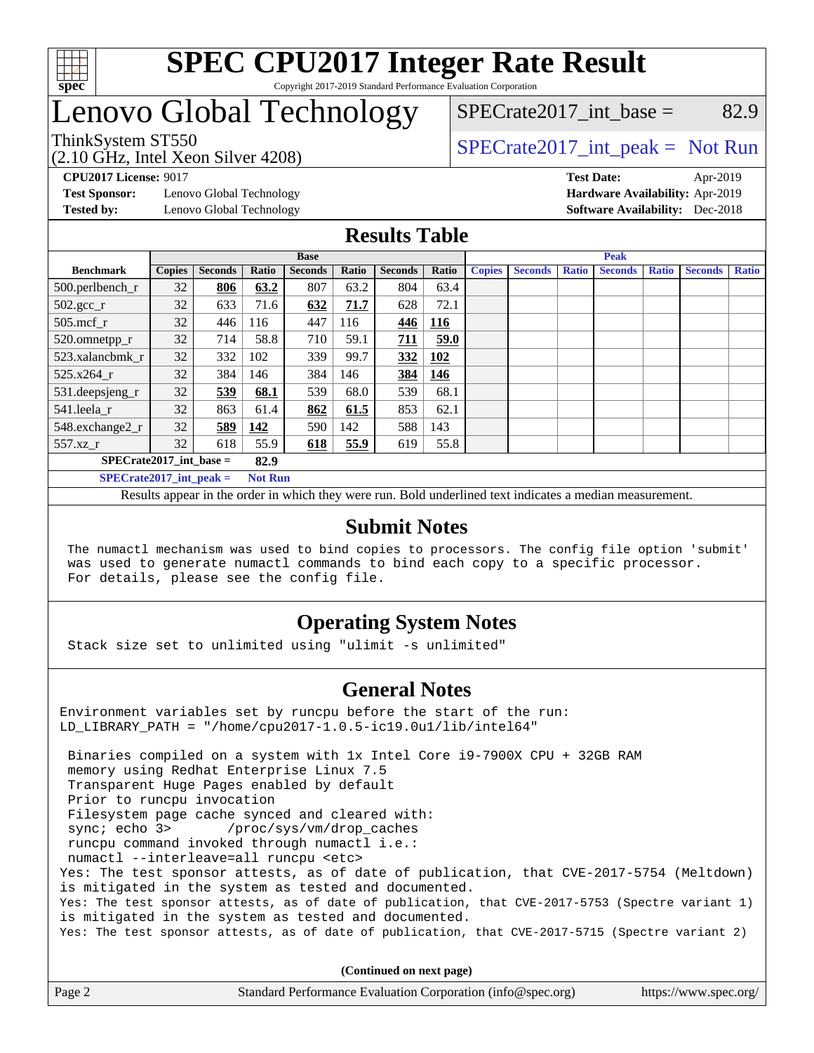

# Lenovo Global Technology

(2.10 GHz, Intel Xeon Silver 4208)

ThinkSystem ST550<br>  $SPECrate2017$ \_int\_peak = Not Run

 $SPECTate2017\_int\_base =$  82.9

**[Test Sponsor:](http://www.spec.org/auto/cpu2017/Docs/result-fields.html#TestSponsor)** Lenovo Global Technology **[Hardware Availability:](http://www.spec.org/auto/cpu2017/Docs/result-fields.html#HardwareAvailability)** Apr-2019

**[CPU2017 License:](http://www.spec.org/auto/cpu2017/Docs/result-fields.html#CPU2017License)** 9017 **[Test Date:](http://www.spec.org/auto/cpu2017/Docs/result-fields.html#TestDate)** Apr-2019 **[Tested by:](http://www.spec.org/auto/cpu2017/Docs/result-fields.html#Testedby)** Lenovo Global Technology **[Software Availability:](http://www.spec.org/auto/cpu2017/Docs/result-fields.html#SoftwareAvailability)** Dec-2018

## **[Results Table](http://www.spec.org/auto/cpu2017/Docs/result-fields.html#ResultsTable)**

|                                             | <b>Base</b>   |                |       |                | <b>Peak</b> |                |       |               |                |              |                |              |                |              |
|---------------------------------------------|---------------|----------------|-------|----------------|-------------|----------------|-------|---------------|----------------|--------------|----------------|--------------|----------------|--------------|
| <b>Benchmark</b>                            | <b>Copies</b> | <b>Seconds</b> | Ratio | <b>Seconds</b> | Ratio       | <b>Seconds</b> | Ratio | <b>Copies</b> | <b>Seconds</b> | <b>Ratio</b> | <b>Seconds</b> | <b>Ratio</b> | <b>Seconds</b> | <b>Ratio</b> |
| $500.$ perlbench_r                          | 32            | 806            | 63.2  | 807            | 63.2        | 804            | 63.4  |               |                |              |                |              |                |              |
| $502.\text{sec}$                            | 32            | 633            | 71.6  | 632            | 71.7        | 628            | 72.1  |               |                |              |                |              |                |              |
| $505$ .mcf r                                | 32            | 446            | 116   | 447            | 116         | 446            | 116   |               |                |              |                |              |                |              |
| 520.omnetpp_r                               | 32            | 714            | 58.8  | 710            | 59.1        | 711            | 59.0  |               |                |              |                |              |                |              |
| 523.xalancbmk r                             | 32            | 332            | 102   | 339            | 99.7        | 332            | 102   |               |                |              |                |              |                |              |
| 525.x264 r                                  | 32            | 384            | 146   | 384            | 146         | 384            | 146   |               |                |              |                |              |                |              |
| $531.$ deepsjeng $_r$                       | 32            | 539            | 68.1  | 539            | 68.0        | 539            | 68.1  |               |                |              |                |              |                |              |
| 541.leela_r                                 | 32            | 863            | 61.4  | 862            | 61.5        | 853            | 62.1  |               |                |              |                |              |                |              |
| 548.exchange2_r                             | 32            | 589            | 142   | 590            | 142         | 588            | 143   |               |                |              |                |              |                |              |
| 557.xz r                                    | 32            | 618            | 55.9  | 618            | 55.9        | 619            | 55.8  |               |                |              |                |              |                |              |
| $SPECrate2017$ int base =<br>82.9           |               |                |       |                |             |                |       |               |                |              |                |              |                |              |
| $SPECrate2017$ int peak =<br><b>Not Run</b> |               |                |       |                |             |                |       |               |                |              |                |              |                |              |

Results appear in the [order in which they were run.](http://www.spec.org/auto/cpu2017/Docs/result-fields.html#RunOrder) Bold underlined text [indicates a median measurement.](http://www.spec.org/auto/cpu2017/Docs/result-fields.html#Median)

#### **[Submit Notes](http://www.spec.org/auto/cpu2017/Docs/result-fields.html#SubmitNotes)**

 The numactl mechanism was used to bind copies to processors. The config file option 'submit' was used to generate numactl commands to bind each copy to a specific processor. For details, please see the config file.

## **[Operating System Notes](http://www.spec.org/auto/cpu2017/Docs/result-fields.html#OperatingSystemNotes)**

Stack size set to unlimited using "ulimit -s unlimited"

## **[General Notes](http://www.spec.org/auto/cpu2017/Docs/result-fields.html#GeneralNotes)**

Environment variables set by runcpu before the start of the run: LD\_LIBRARY\_PATH = "/home/cpu2017-1.0.5-ic19.0u1/lib/intel64"

 Binaries compiled on a system with 1x Intel Core i9-7900X CPU + 32GB RAM memory using Redhat Enterprise Linux 7.5 Transparent Huge Pages enabled by default Prior to runcpu invocation Filesystem page cache synced and cleared with: sync; echo 3> /proc/sys/vm/drop\_caches runcpu command invoked through numactl i.e.: numactl --interleave=all runcpu <etc> Yes: The test sponsor attests, as of date of publication, that CVE-2017-5754 (Meltdown) is mitigated in the system as tested and documented. Yes: The test sponsor attests, as of date of publication, that CVE-2017-5753 (Spectre variant 1) is mitigated in the system as tested and documented. Yes: The test sponsor attests, as of date of publication, that CVE-2017-5715 (Spectre variant 2)

**(Continued on next page)**

| Page 2 | Standard Performance Evaluation Corporation (info@spec.org) | https://www.spec.org/ |
|--------|-------------------------------------------------------------|-----------------------|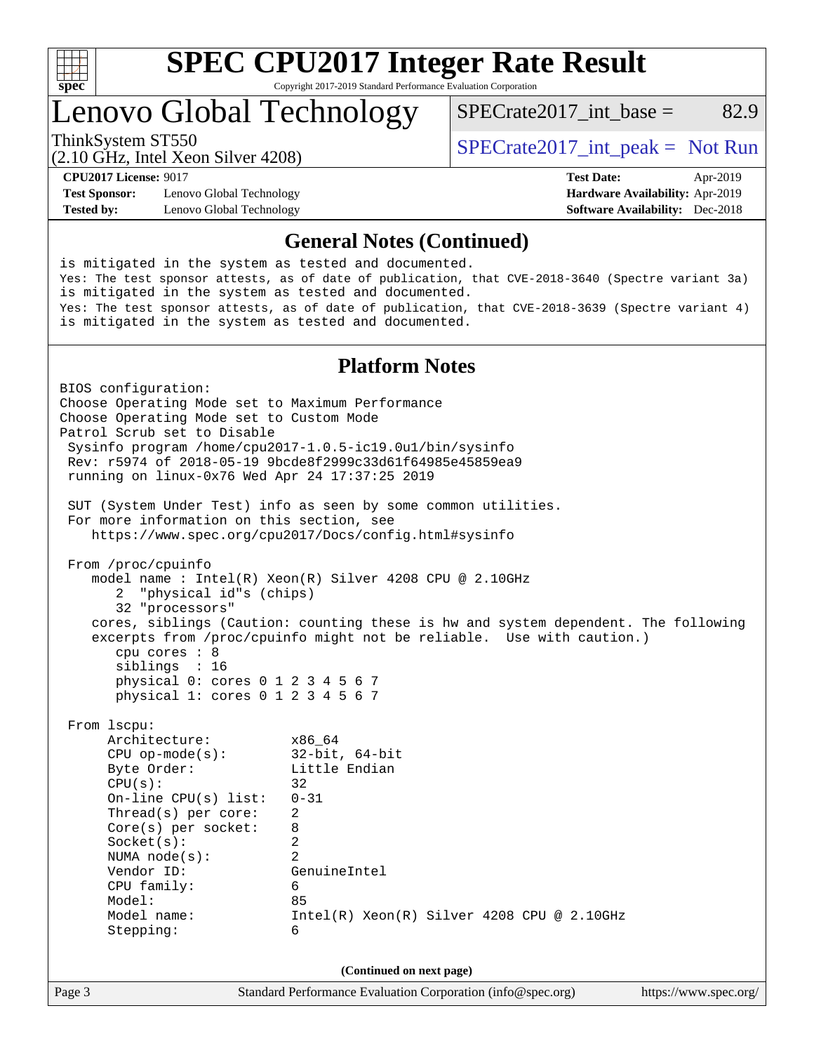

Lenovo Global Technology

ThinkSystem ST550<br>  $SPECrate2017$ \_int\_peak = Not Run

SPECrate2017 int\_base =  $82.9$ 

(2.10 GHz, Intel Xeon Silver 4208)

**[Test Sponsor:](http://www.spec.org/auto/cpu2017/Docs/result-fields.html#TestSponsor)** Lenovo Global Technology **[Hardware Availability:](http://www.spec.org/auto/cpu2017/Docs/result-fields.html#HardwareAvailability)** Apr-2019 **[Tested by:](http://www.spec.org/auto/cpu2017/Docs/result-fields.html#Testedby)** Lenovo Global Technology **[Software Availability:](http://www.spec.org/auto/cpu2017/Docs/result-fields.html#SoftwareAvailability)** Dec-2018

**[CPU2017 License:](http://www.spec.org/auto/cpu2017/Docs/result-fields.html#CPU2017License)** 9017 **[Test Date:](http://www.spec.org/auto/cpu2017/Docs/result-fields.html#TestDate)** Apr-2019

#### **[General Notes \(Continued\)](http://www.spec.org/auto/cpu2017/Docs/result-fields.html#GeneralNotes)**

is mitigated in the system as tested and documented. Yes: The test sponsor attests, as of date of publication, that CVE-2018-3640 (Spectre variant 3a) is mitigated in the system as tested and documented. Yes: The test sponsor attests, as of date of publication, that CVE-2018-3639 (Spectre variant 4) is mitigated in the system as tested and documented. **[Platform Notes](http://www.spec.org/auto/cpu2017/Docs/result-fields.html#PlatformNotes)** BIOS configuration: Choose Operating Mode set to Maximum Performance Choose Operating Mode set to Custom Mode Patrol Scrub set to Disable Sysinfo program /home/cpu2017-1.0.5-ic19.0u1/bin/sysinfo Rev: r5974 of 2018-05-19 9bcde8f2999c33d61f64985e45859ea9 running on linux-0x76 Wed Apr 24 17:37:25 2019 SUT (System Under Test) info as seen by some common utilities. For more information on this section, see <https://www.spec.org/cpu2017/Docs/config.html#sysinfo> From /proc/cpuinfo model name : Intel(R) Xeon(R) Silver 4208 CPU @ 2.10GHz 2 "physical id"s (chips) 32 "processors" cores, siblings (Caution: counting these is hw and system dependent. The following excerpts from /proc/cpuinfo might not be reliable. Use with caution.) cpu cores : 8 siblings : 16 physical 0: cores 0 1 2 3 4 5 6 7 physical 1: cores 0 1 2 3 4 5 6 7 From lscpu: Architecture: x86\_64 CPU op-mode(s): 32-bit, 64-bit<br>Byte Order: Little Endian Little Endian  $CPU(s):$  32 On-line CPU(s) list: 0-31 Thread(s) per core: 2 Core(s) per socket: 8 Socket(s): 2 NUMA node(s): 2 Vendor ID: GenuineIntel CPU family: 6 Model: 85 Model name: Intel(R) Xeon(R) Silver 4208 CPU @ 2.10GHz Stepping: 6 **(Continued on next page)**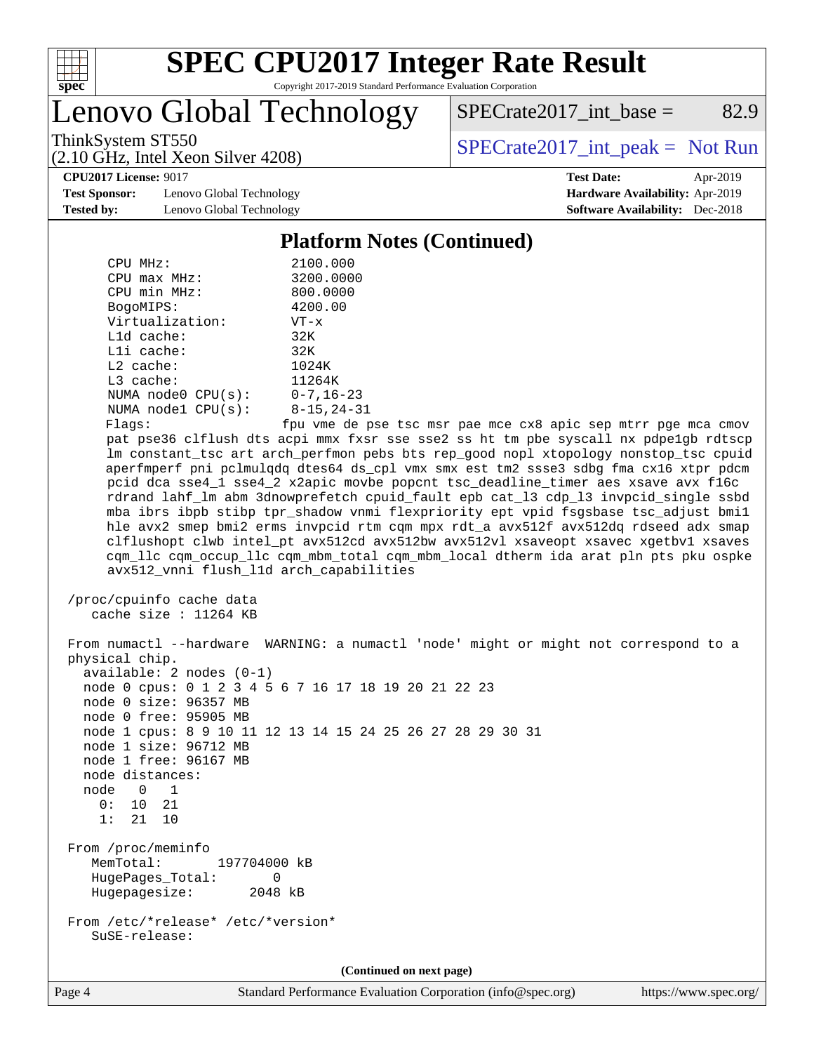

Lenovo Global Technology

 $SPECrate2017\_int\_base =$  82.9

(2.10 GHz, Intel Xeon Silver 4208)

ThinkSystem ST550<br>  $SPECrate2017$ \_int\_peak = Not Run

**[CPU2017 License:](http://www.spec.org/auto/cpu2017/Docs/result-fields.html#CPU2017License)** 9017 **[Test Date:](http://www.spec.org/auto/cpu2017/Docs/result-fields.html#TestDate)** Apr-2019

**[Test Sponsor:](http://www.spec.org/auto/cpu2017/Docs/result-fields.html#TestSponsor)** Lenovo Global Technology **[Hardware Availability:](http://www.spec.org/auto/cpu2017/Docs/result-fields.html#HardwareAvailability)** Apr-2019 **[Tested by:](http://www.spec.org/auto/cpu2017/Docs/result-fields.html#Testedby)** Lenovo Global Technology **[Software Availability:](http://www.spec.org/auto/cpu2017/Docs/result-fields.html#SoftwareAvailability)** Dec-2018

#### **[Platform Notes \(Continued\)](http://www.spec.org/auto/cpu2017/Docs/result-fields.html#PlatformNotes)**

| CPU MHz:           | 2100.000          |
|--------------------|-------------------|
| $CPU$ max $MHz$ :  | 3200.0000         |
| CPU min MHz:       | 800.0000          |
| BogoMIPS:          | 4200.00           |
| Virtualization:    | $VT - x$          |
| $L1d$ cache:       | 32K               |
| $L1i$ cache:       | 32K               |
| $L2$ cache:        | 1024K             |
| $L3$ cache:        | 11264K            |
| NUMA node0 CPU(s): | $0 - 7, 16 - 23$  |
| NUMA node1 CPU(s): | $8 - 15, 24 - 31$ |
| Flaqs:             | fpu vme de p      |

bse tsc msr pae mce cx8 apic sep mtrr pge mca cmov pat pse36 clflush dts acpi mmx fxsr sse sse2 ss ht tm pbe syscall nx pdpe1gb rdtscp lm constant\_tsc art arch\_perfmon pebs bts rep\_good nopl xtopology nonstop\_tsc cpuid aperfmperf pni pclmulqdq dtes64 ds\_cpl vmx smx est tm2 ssse3 sdbg fma cx16 xtpr pdcm pcid dca sse4\_1 sse4\_2 x2apic movbe popcnt tsc\_deadline\_timer aes xsave avx f16c rdrand lahf\_lm abm 3dnowprefetch cpuid\_fault epb cat\_l3 cdp\_l3 invpcid\_single ssbd mba ibrs ibpb stibp tpr\_shadow vnmi flexpriority ept vpid fsgsbase tsc\_adjust bmi1 hle avx2 smep bmi2 erms invpcid rtm cqm mpx rdt\_a avx512f avx512dq rdseed adx smap clflushopt clwb intel\_pt avx512cd avx512bw avx512vl xsaveopt xsavec xgetbv1 xsaves cqm\_llc cqm\_occup\_llc cqm\_mbm\_total cqm\_mbm\_local dtherm ida arat pln pts pku ospke avx512\_vnni flush\_l1d arch\_capabilities

```
 /proc/cpuinfo cache data
   cache size : 11264 KB
```
 From numactl --hardware WARNING: a numactl 'node' might or might not correspond to a physical chip. available: 2 nodes (0-1) node 0 cpus: 0 1 2 3 4 5 6 7 16 17 18 19 20 21 22 23 node 0 size: 96357 MB node 0 free: 95905 MB node 1 cpus: 8 9 10 11 12 13 14 15 24 25 26 27 28 29 30 31 node 1 size: 96712 MB node 1 free: 96167 MB node distances: node 0 1  $0: 10 21$  1: 21 10 From /proc/meminfo MemTotal: 197704000 kB HugePages\_Total: 0 Hugepagesize: 2048 kB From /etc/\*release\* /etc/\*version\* SuSE-release:

**(Continued on next page)**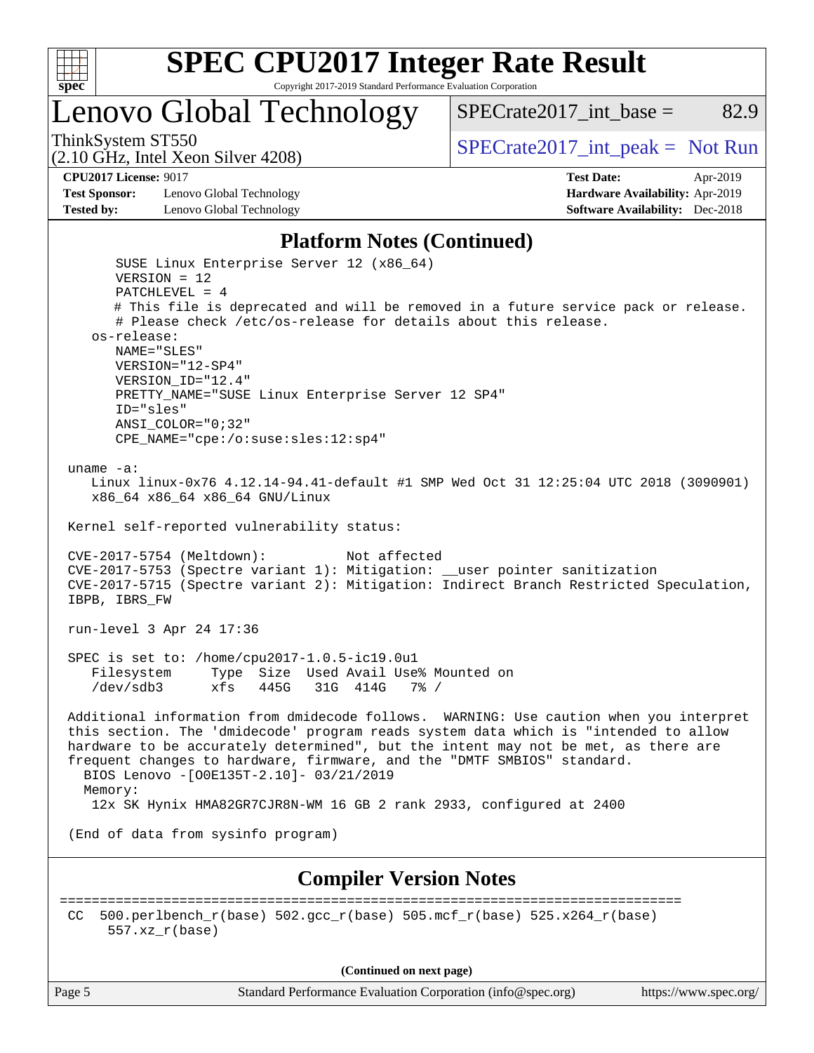

Lenovo Global Technology

ThinkSystem ST550<br>  $SPECrate2017$ \_int\_peak = Not Run

SPECrate2017 int\_base =  $82.9$ 

(2.10 GHz, Intel Xeon Silver 4208)

**[CPU2017 License:](http://www.spec.org/auto/cpu2017/Docs/result-fields.html#CPU2017License)** 9017 **[Test Date:](http://www.spec.org/auto/cpu2017/Docs/result-fields.html#TestDate)** Apr-2019

**[Test Sponsor:](http://www.spec.org/auto/cpu2017/Docs/result-fields.html#TestSponsor)** Lenovo Global Technology **[Hardware Availability:](http://www.spec.org/auto/cpu2017/Docs/result-fields.html#HardwareAvailability)** Apr-2019 **[Tested by:](http://www.spec.org/auto/cpu2017/Docs/result-fields.html#Testedby)** Lenovo Global Technology **[Software Availability:](http://www.spec.org/auto/cpu2017/Docs/result-fields.html#SoftwareAvailability)** Dec-2018

#### **[Platform Notes \(Continued\)](http://www.spec.org/auto/cpu2017/Docs/result-fields.html#PlatformNotes)**

 SUSE Linux Enterprise Server 12 (x86\_64) VERSION = 12 PATCHLEVEL = 4 # This file is deprecated and will be removed in a future service pack or release. # Please check /etc/os-release for details about this release. os-release: NAME="SLES" VERSION="12-SP4" VERSION\_ID="12.4" PRETTY\_NAME="SUSE Linux Enterprise Server 12 SP4" ID="sles" ANSI\_COLOR="0;32" CPE\_NAME="cpe:/o:suse:sles:12:sp4" uname -a: Linux linux-0x76 4.12.14-94.41-default #1 SMP Wed Oct 31 12:25:04 UTC 2018 (3090901) x86\_64 x86\_64 x86\_64 GNU/Linux Kernel self-reported vulnerability status: CVE-2017-5754 (Meltdown): Not affected CVE-2017-5753 (Spectre variant 1): Mitigation: \_\_user pointer sanitization CVE-2017-5715 (Spectre variant 2): Mitigation: Indirect Branch Restricted Speculation, IBPB, IBRS\_FW run-level 3 Apr 24 17:36 SPEC is set to: /home/cpu2017-1.0.5-ic19.0u1 Filesystem Type Size Used Avail Use% Mounted on /dev/sdb3 xfs 445G 31G 414G 7% / Additional information from dmidecode follows. WARNING: Use caution when you interpret this section. The 'dmidecode' program reads system data which is "intended to allow hardware to be accurately determined", but the intent may not be met, as there are frequent changes to hardware, firmware, and the "DMTF SMBIOS" standard. BIOS Lenovo -[O0E135T-2.10]- 03/21/2019 Memory: 12x SK Hynix HMA82GR7CJR8N-WM 16 GB 2 rank 2933, configured at 2400 (End of data from sysinfo program) **[Compiler Version Notes](http://www.spec.org/auto/cpu2017/Docs/result-fields.html#CompilerVersionNotes)** ============================================================================== CC 500.perlbench\_r(base)  $502.\text{gcc\_r}$ (base)  $505.\text{mcf\_r}$ (base)  $525.\text{x}264\text{r}$ (base) 557.xz\_r(base)

**(Continued on next page)**

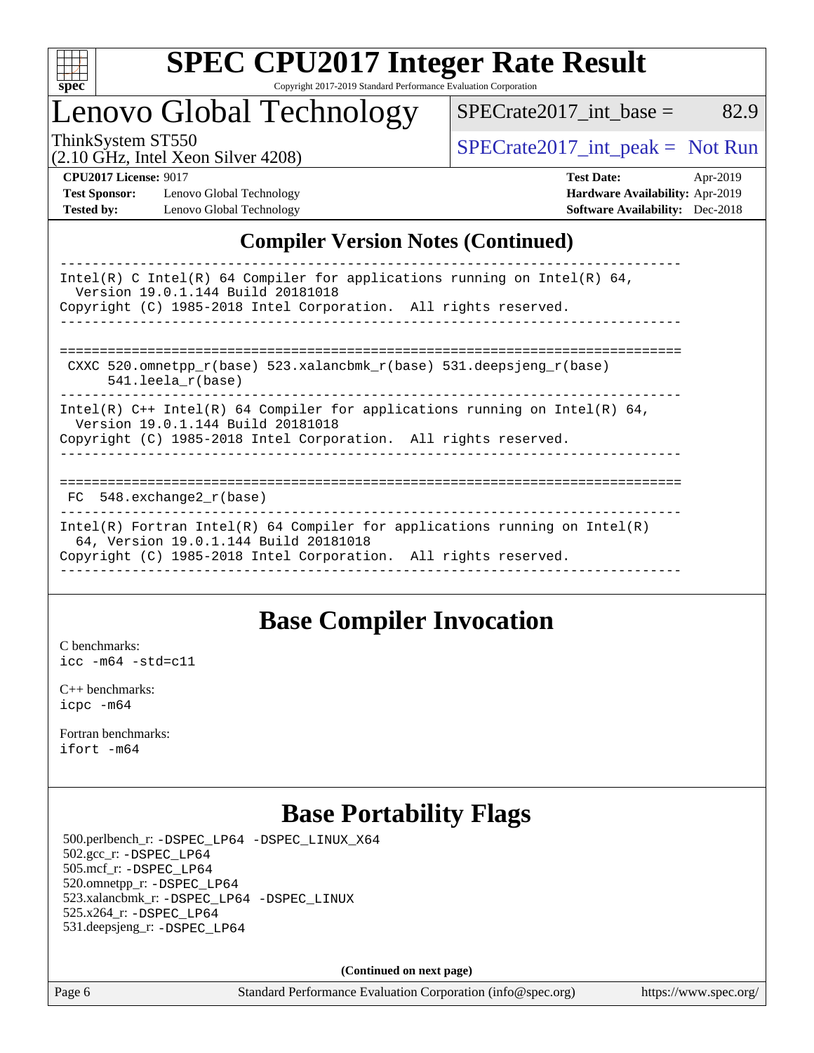

## Lenovo Global Technology

ThinkSystem ST550<br>  $\begin{array}{r} \text{SPECrate2017\_int\_peak} = \text{Not Run} \\ \text{SPECrate2017\_int\_peak} = \text{Not Run} \end{array}$ 

 $SPECTate2017\_int\_base =$  82.9

(2.10 GHz, Intel Xeon Silver 4208)

**[CPU2017 License:](http://www.spec.org/auto/cpu2017/Docs/result-fields.html#CPU2017License)** 9017 **[Test Date:](http://www.spec.org/auto/cpu2017/Docs/result-fields.html#TestDate)** Apr-2019 **[Test Sponsor:](http://www.spec.org/auto/cpu2017/Docs/result-fields.html#TestSponsor)** Lenovo Global Technology **[Hardware Availability:](http://www.spec.org/auto/cpu2017/Docs/result-fields.html#HardwareAvailability)** Apr-2019 **[Tested by:](http://www.spec.org/auto/cpu2017/Docs/result-fields.html#Testedby)** Lenovo Global Technology **[Software Availability:](http://www.spec.org/auto/cpu2017/Docs/result-fields.html#SoftwareAvailability)** Dec-2018

## **[Compiler Version Notes \(Continued\)](http://www.spec.org/auto/cpu2017/Docs/result-fields.html#CompilerVersionNotes)**

| Intel(R) C Intel(R) 64 Compiler for applications running on Intel(R) 64,<br>Version 19.0.1.144 Build 20181018<br>Copyright (C) 1985-2018 Intel Corporation. All rights reserved.       |
|----------------------------------------------------------------------------------------------------------------------------------------------------------------------------------------|
|                                                                                                                                                                                        |
| CXXC 520.omnetpp $r(base)$ 523.xalancbmk $r(base)$ 531.deepsjeng $r(base)$<br>$541.$ leela r(base)                                                                                     |
| Intel(R) $C++$ Intel(R) 64 Compiler for applications running on Intel(R) 64,<br>Version 19.0.1.144 Build 20181018<br>Copyright (C) 1985-2018 Intel Corporation. All rights reserved.   |
|                                                                                                                                                                                        |
| FC 548. exchange2 r(base)                                                                                                                                                              |
| Intel(R) Fortran Intel(R) 64 Compiler for applications running on Intel(R)<br>64, Version 19.0.1.144 Build 20181018<br>Copyright (C) 1985-2018 Intel Corporation. All rights reserved. |
|                                                                                                                                                                                        |

## **[Base Compiler Invocation](http://www.spec.org/auto/cpu2017/Docs/result-fields.html#BaseCompilerInvocation)**

[C benchmarks](http://www.spec.org/auto/cpu2017/Docs/result-fields.html#Cbenchmarks): [icc -m64 -std=c11](http://www.spec.org/cpu2017/results/res2019q2/cpu2017-20190430-13415.flags.html#user_CCbase_intel_icc_64bit_c11_33ee0cdaae7deeeab2a9725423ba97205ce30f63b9926c2519791662299b76a0318f32ddfffdc46587804de3178b4f9328c46fa7c2b0cd779d7a61945c91cd35)

[C++ benchmarks:](http://www.spec.org/auto/cpu2017/Docs/result-fields.html#CXXbenchmarks) [icpc -m64](http://www.spec.org/cpu2017/results/res2019q2/cpu2017-20190430-13415.flags.html#user_CXXbase_intel_icpc_64bit_4ecb2543ae3f1412ef961e0650ca070fec7b7afdcd6ed48761b84423119d1bf6bdf5cad15b44d48e7256388bc77273b966e5eb805aefd121eb22e9299b2ec9d9)

[Fortran benchmarks](http://www.spec.org/auto/cpu2017/Docs/result-fields.html#Fortranbenchmarks): [ifort -m64](http://www.spec.org/cpu2017/results/res2019q2/cpu2017-20190430-13415.flags.html#user_FCbase_intel_ifort_64bit_24f2bb282fbaeffd6157abe4f878425411749daecae9a33200eee2bee2fe76f3b89351d69a8130dd5949958ce389cf37ff59a95e7a40d588e8d3a57e0c3fd751)

## **[Base Portability Flags](http://www.spec.org/auto/cpu2017/Docs/result-fields.html#BasePortabilityFlags)**

 500.perlbench\_r: [-DSPEC\\_LP64](http://www.spec.org/cpu2017/results/res2019q2/cpu2017-20190430-13415.flags.html#b500.perlbench_r_basePORTABILITY_DSPEC_LP64) [-DSPEC\\_LINUX\\_X64](http://www.spec.org/cpu2017/results/res2019q2/cpu2017-20190430-13415.flags.html#b500.perlbench_r_baseCPORTABILITY_DSPEC_LINUX_X64) 502.gcc\_r: [-DSPEC\\_LP64](http://www.spec.org/cpu2017/results/res2019q2/cpu2017-20190430-13415.flags.html#suite_basePORTABILITY502_gcc_r_DSPEC_LP64) 505.mcf\_r: [-DSPEC\\_LP64](http://www.spec.org/cpu2017/results/res2019q2/cpu2017-20190430-13415.flags.html#suite_basePORTABILITY505_mcf_r_DSPEC_LP64) 520.omnetpp\_r: [-DSPEC\\_LP64](http://www.spec.org/cpu2017/results/res2019q2/cpu2017-20190430-13415.flags.html#suite_basePORTABILITY520_omnetpp_r_DSPEC_LP64) 523.xalancbmk\_r: [-DSPEC\\_LP64](http://www.spec.org/cpu2017/results/res2019q2/cpu2017-20190430-13415.flags.html#suite_basePORTABILITY523_xalancbmk_r_DSPEC_LP64) [-DSPEC\\_LINUX](http://www.spec.org/cpu2017/results/res2019q2/cpu2017-20190430-13415.flags.html#b523.xalancbmk_r_baseCXXPORTABILITY_DSPEC_LINUX) 525.x264\_r: [-DSPEC\\_LP64](http://www.spec.org/cpu2017/results/res2019q2/cpu2017-20190430-13415.flags.html#suite_basePORTABILITY525_x264_r_DSPEC_LP64) 531.deepsjeng\_r: [-DSPEC\\_LP64](http://www.spec.org/cpu2017/results/res2019q2/cpu2017-20190430-13415.flags.html#suite_basePORTABILITY531_deepsjeng_r_DSPEC_LP64)

**(Continued on next page)**

Page 6 Standard Performance Evaluation Corporation [\(info@spec.org\)](mailto:info@spec.org) <https://www.spec.org/>